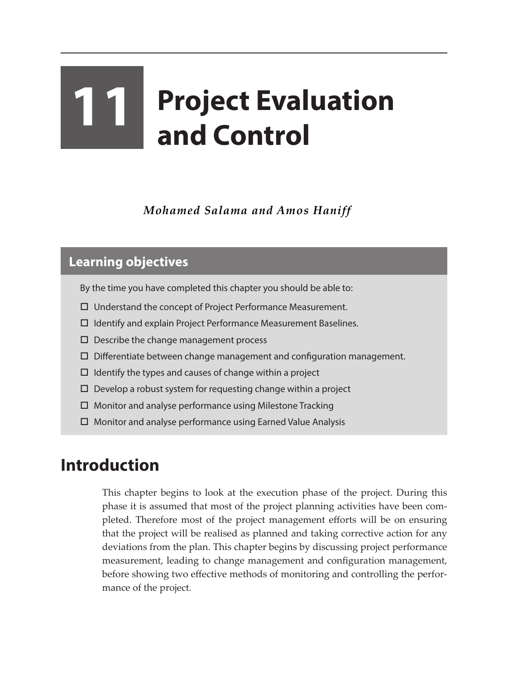# **11 Project Evaluation and Control**

*Mohamed Salama and Amos Haniff*

### **Learning objectives**

- By the time you have completed this chapter you should be able to:
- Understand the concept of Project Performance Measurement.
- $\Box$  Identify and explain Project Performance Measurement Baselines.
- $\square$  Describe the change management process
- $\Box$  Differentiate between change management and configuration management.
- $\Box$  Identify the types and causes of change within a project
- $\square$  Develop a robust system for requesting change within a project
- $\Box$  Monitor and analyse performance using Milestone Tracking
- Monitor and analyse performance using Earned Value Analysis

# **Introduction**

This chapter begins to look at the execution phase of the project. During this phase it is assumed that most of the project planning activities have been completed. Therefore most of the project management efforts will be on ensuring that the project will be realised as planned and taking corrective action for any deviations from the plan. This chapter begins by discussing project performance measurement, leading to change management and configuration management, before showing two effective methods of monitoring and controlling the performance of the project.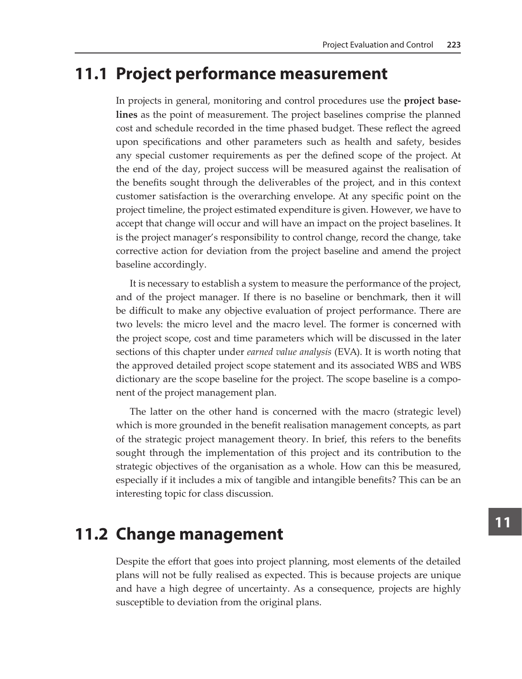## **11.1 Project performance measurement**

In projects in general, monitoring and control procedures use the **project baselines** as the point of measurement. The project baselines comprise the planned cost and schedule recorded in the time phased budget. These reflect the agreed upon specifications and other parameters such as health and safety, besides any special customer requirements as per the defined scope of the project. At the end of the day, project success will be measured against the realisation of the benefits sought through the deliverables of the project, and in this context customer satisfaction is the overarching envelope. At any specific point on the project timeline, the project estimated expenditure is given. However, we have to accept that change will occur and will have an impact on the project baselines. It is the project manager's responsibility to control change, record the change, take corrective action for deviation from the project baseline and amend the project baseline accordingly.

It is necessary to establish a system to measure the performance of the project, and of the project manager. If there is no baseline or benchmark, then it will be difficult to make any objective evaluation of project performance. There are two levels: the micro level and the macro level. The former is concerned with the project scope, cost and time parameters which will be discussed in the later sections of this chapter under *earned value analysis* (EVA). It is worth noting that the approved detailed project scope statement and its associated WBS and WBS dictionary are the scope baseline for the project. The scope baseline is a component of the project management plan.

The latter on the other hand is concerned with the macro (strategic level) which is more grounded in the benefit realisation management concepts, as part of the strategic project management theory. In brief, this refers to the benefits sought through the implementation of this project and its contribution to the strategic objectives of the organisation as a whole. How can this be measured, especially if it includes a mix of tangible and intangible benefits? This can be an interesting topic for class discussion.

# **11.2 Change management**

Despite the effort that goes into project planning, most elements of the detailed plans will not be fully realised as expected. This is because projects are unique and have a high degree of uncertainty. As a consequence, projects are highly susceptible to deviation from the original plans.